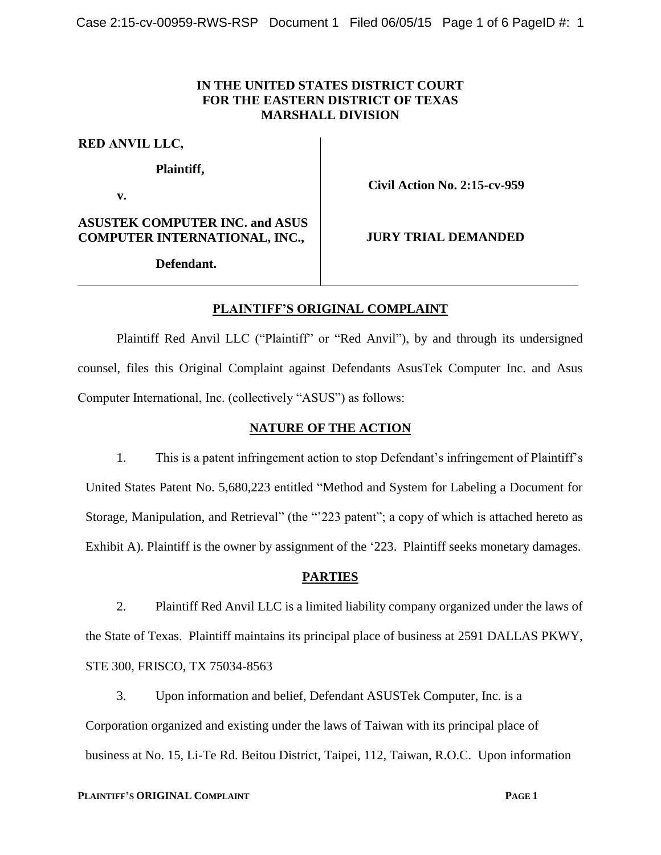## **IN THE UNITED STATES DISTRICT COURT FOR THE EASTERN DISTRICT OF TEXAS MARSHALL DIVISION**

**RED ANVIL LLC,**

**Plaintiff,**

**v.**

**ASUSTEK COMPUTER INC. and ASUS COMPUTER INTERNATIONAL, INC.,**

**Civil Action No. 2:15-cv-959**

**JURY TRIAL DEMANDED**

**Defendant.**

# **PLAINTIFF'S ORIGINAL COMPLAINT**

Plaintiff Red Anvil LLC ("Plaintiff" or "Red Anvil"), by and through its undersigned counsel, files this Original Complaint against Defendants AsusTek Computer Inc. and Asus Computer International, Inc. (collectively "ASUS") as follows:

## **NATURE OF THE ACTION**

1. This is a patent infringement action to stop Defendant's infringement of Plaintiff's United States Patent No. 5,680,223 entitled "Method and System for Labeling a Document for Storage, Manipulation, and Retrieval" (the "223 patent"; a copy of which is attached hereto as Exhibit A). Plaintiff is the owner by assignment of the '223. Plaintiff seeks monetary damages.

## **PARTIES**

2. Plaintiff Red Anvil LLC is a limited liability company organized under the laws of the State of Texas. Plaintiff maintains its principal place of business at 2591 DALLAS PKWY, STE 300, FRISCO, TX 75034-8563

3. Upon information and belief, Defendant ASUSTek Computer, Inc. is a Corporation organized and existing under the laws of Taiwan with its principal place of business at No. 15, Li-Te Rd. Beitou District, Taipei, 112, Taiwan, R.O.C. Upon information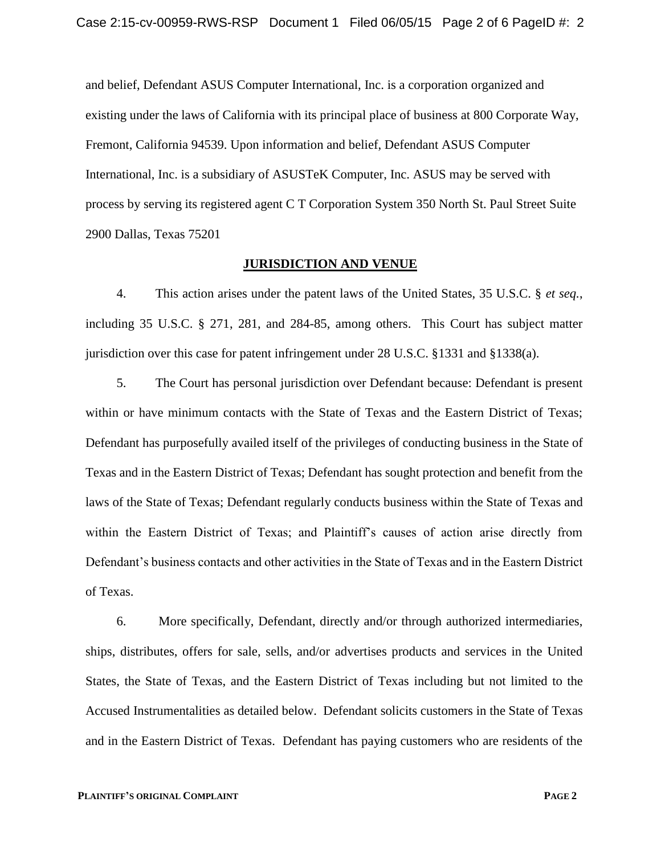and belief, Defendant ASUS Computer International, Inc. is a corporation organized and existing under the laws of California with its principal place of business at 800 Corporate Way, Fremont, California 94539. Upon information and belief, Defendant ASUS Computer International, Inc. is a subsidiary of ASUSTeK Computer, Inc. ASUS may be served with process by serving its registered agent C T Corporation System 350 North St. Paul Street Suite 2900 Dallas, Texas 75201

#### **JURISDICTION AND VENUE**

4. This action arises under the patent laws of the United States, 35 U.S.C. § *et seq.*, including 35 U.S.C. § 271, 281, and 284-85, among others. This Court has subject matter jurisdiction over this case for patent infringement under 28 U.S.C. §1331 and §1338(a).

5. The Court has personal jurisdiction over Defendant because: Defendant is present within or have minimum contacts with the State of Texas and the Eastern District of Texas; Defendant has purposefully availed itself of the privileges of conducting business in the State of Texas and in the Eastern District of Texas; Defendant has sought protection and benefit from the laws of the State of Texas; Defendant regularly conducts business within the State of Texas and within the Eastern District of Texas; and Plaintiff's causes of action arise directly from Defendant's business contacts and other activities in the State of Texas and in the Eastern District of Texas.

6. More specifically, Defendant, directly and/or through authorized intermediaries, ships, distributes, offers for sale, sells, and/or advertises products and services in the United States, the State of Texas, and the Eastern District of Texas including but not limited to the Accused Instrumentalities as detailed below. Defendant solicits customers in the State of Texas and in the Eastern District of Texas. Defendant has paying customers who are residents of the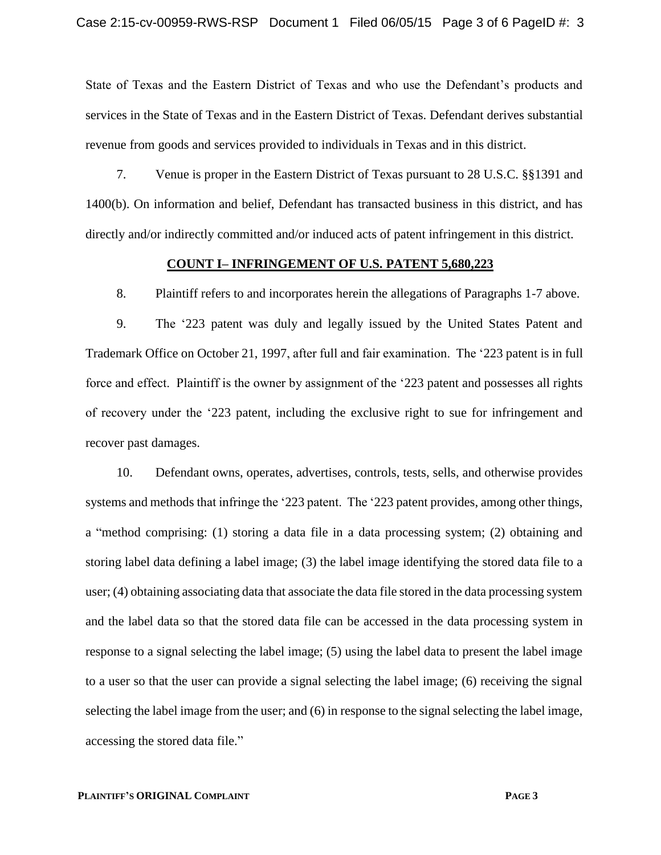State of Texas and the Eastern District of Texas and who use the Defendant's products and services in the State of Texas and in the Eastern District of Texas. Defendant derives substantial revenue from goods and services provided to individuals in Texas and in this district.

7. Venue is proper in the Eastern District of Texas pursuant to 28 U.S.C. §§1391 and 1400(b). On information and belief, Defendant has transacted business in this district, and has directly and/or indirectly committed and/or induced acts of patent infringement in this district.

#### **COUNT I– INFRINGEMENT OF U.S. PATENT 5,680,223**

8. Plaintiff refers to and incorporates herein the allegations of Paragraphs 1-7 above.

9. The '223 patent was duly and legally issued by the United States Patent and Trademark Office on October 21, 1997, after full and fair examination. The '223 patent is in full force and effect. Plaintiff is the owner by assignment of the '223 patent and possesses all rights of recovery under the '223 patent, including the exclusive right to sue for infringement and recover past damages.

10. Defendant owns, operates, advertises, controls, tests, sells, and otherwise provides systems and methods that infringe the '223 patent. The '223 patent provides, among other things, a "method comprising: (1) storing a data file in a data processing system; (2) obtaining and storing label data defining a label image; (3) the label image identifying the stored data file to a user; (4) obtaining associating data that associate the data file stored in the data processing system and the label data so that the stored data file can be accessed in the data processing system in response to a signal selecting the label image; (5) using the label data to present the label image to a user so that the user can provide a signal selecting the label image; (6) receiving the signal selecting the label image from the user; and (6) in response to the signal selecting the label image, accessing the stored data file."

#### **PLAINTIFF'S ORIGINAL COMPLAINT PAGE 3**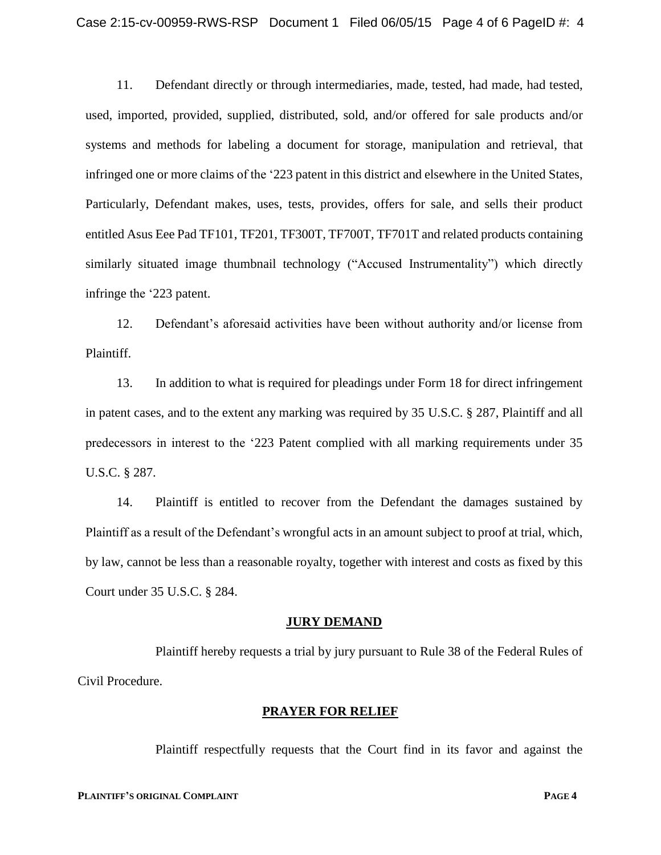11. Defendant directly or through intermediaries, made, tested, had made, had tested, used, imported, provided, supplied, distributed, sold, and/or offered for sale products and/or systems and methods for labeling a document for storage, manipulation and retrieval, that infringed one or more claims of the '223 patent in this district and elsewhere in the United States, Particularly, Defendant makes, uses, tests, provides, offers for sale, and sells their product entitled Asus Eee Pad TF101, TF201, TF300T, TF700T, TF701T and related products containing similarly situated image thumbnail technology ("Accused Instrumentality") which directly infringe the '223 patent.

12. Defendant's aforesaid activities have been without authority and/or license from Plaintiff.

13. In addition to what is required for pleadings under Form 18 for direct infringement in patent cases, and to the extent any marking was required by 35 U.S.C. § 287, Plaintiff and all predecessors in interest to the '223 Patent complied with all marking requirements under 35 U.S.C. § 287.

14. Plaintiff is entitled to recover from the Defendant the damages sustained by Plaintiff as a result of the Defendant's wrongful acts in an amount subject to proof at trial, which, by law, cannot be less than a reasonable royalty, together with interest and costs as fixed by this Court under 35 U.S.C. § 284.

## **JURY DEMAND**

Plaintiff hereby requests a trial by jury pursuant to Rule 38 of the Federal Rules of Civil Procedure.

## **PRAYER FOR RELIEF**

Plaintiff respectfully requests that the Court find in its favor and against the